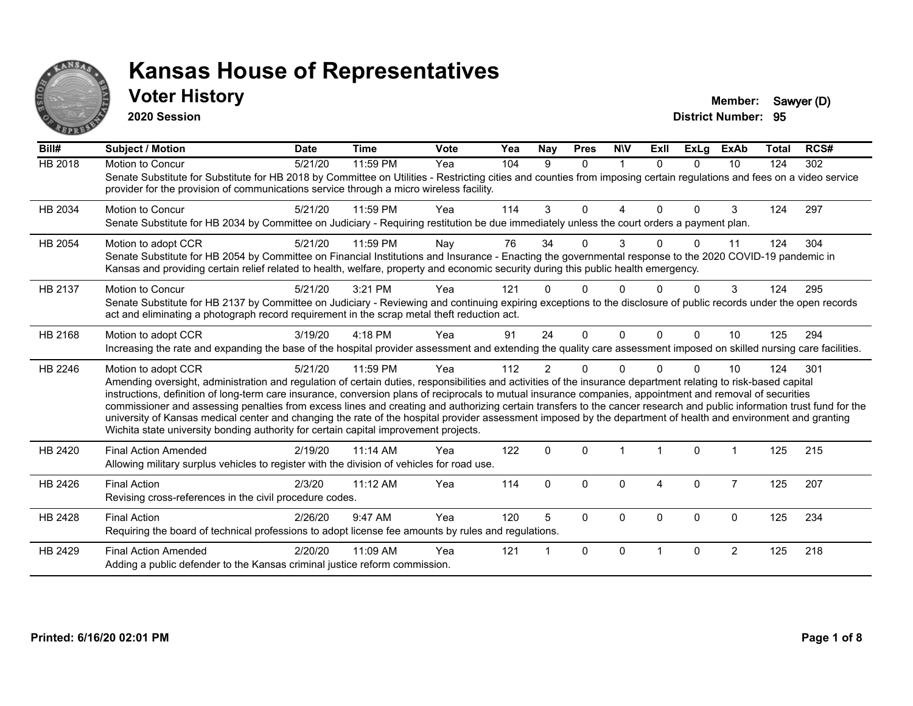

#### **Voter History Member:** Sawyer (D)

**2020 Session**

| Bill#          | <b>Subject / Motion</b>                                                                                                                                                                                                                                                                                                                                                                                                                                                                                                                                                                                                                                                                                                                                                                  | <b>Date</b> | <b>Time</b> | Vote | Yea | <b>Nay</b>     | <b>Pres</b>  | <b>NIV</b>  | ExII         | ExLg     | <b>ExAb</b>    | <b>Total</b> | RCS# |
|----------------|------------------------------------------------------------------------------------------------------------------------------------------------------------------------------------------------------------------------------------------------------------------------------------------------------------------------------------------------------------------------------------------------------------------------------------------------------------------------------------------------------------------------------------------------------------------------------------------------------------------------------------------------------------------------------------------------------------------------------------------------------------------------------------------|-------------|-------------|------|-----|----------------|--------------|-------------|--------------|----------|----------------|--------------|------|
| <b>HB 2018</b> | Motion to Concur<br>Senate Substitute for Substitute for HB 2018 by Committee on Utilities - Restricting cities and counties from imposing certain regulations and fees on a video service<br>provider for the provision of communications service through a micro wireless facility.                                                                                                                                                                                                                                                                                                                                                                                                                                                                                                    | 5/21/20     | 11:59 PM    | Yea  | 104 | 9              | $\Omega$     | $\mathbf 1$ | $\Omega$     | $\Omega$ | 10             | 124          | 302  |
| HB 2034        | <b>Motion to Concur</b><br>Senate Substitute for HB 2034 by Committee on Judiciary - Requiring restitution be due immediately unless the court orders a payment plan.                                                                                                                                                                                                                                                                                                                                                                                                                                                                                                                                                                                                                    | 5/21/20     | 11:59 PM    | Yea  | 114 | 3              | $\Omega$     | 4           | $\Omega$     | $\Omega$ | 3              | 124          | 297  |
| HB 2054        | Motion to adopt CCR<br>Senate Substitute for HB 2054 by Committee on Financial Institutions and Insurance - Enacting the governmental response to the 2020 COVID-19 pandemic in<br>Kansas and providing certain relief related to health, welfare, property and economic security during this public health emergency.                                                                                                                                                                                                                                                                                                                                                                                                                                                                   | 5/21/20     | 11:59 PM    | Nay  | 76  | 34             | $\Omega$     | 3           | <sup>n</sup> | 0        | 11             | 124          | 304  |
| HB 2137        | Motion to Concur<br>Senate Substitute for HB 2137 by Committee on Judiciary - Reviewing and continuing expiring exceptions to the disclosure of public records under the open records<br>act and eliminating a photograph record requirement in the scrap metal theft reduction act.                                                                                                                                                                                                                                                                                                                                                                                                                                                                                                     | 5/21/20     | 3:21 PM     | Yea  | 121 |                | <sup>n</sup> |             |              |          | 3              | 124          | 295  |
| HB 2168        | Motion to adopt CCR<br>Increasing the rate and expanding the base of the hospital provider assessment and extending the quality care assessment imposed on skilled nursing care facilities.                                                                                                                                                                                                                                                                                                                                                                                                                                                                                                                                                                                              | 3/19/20     | 4:18 PM     | Yea  | 91  | 24             | $\Omega$     | $\Omega$    | 0            | $\Omega$ | 10             | 125          | 294  |
| HB 2246        | Motion to adopt CCR<br>Amending oversight, administration and regulation of certain duties, responsibilities and activities of the insurance department relating to risk-based capital<br>instructions, definition of long-term care insurance, conversion plans of reciprocals to mutual insurance companies, appointment and removal of securities<br>commissioner and assessing penalties from excess lines and creating and authorizing certain transfers to the cancer research and public information trust fund for the<br>university of Kansas medical center and changing the rate of the hospital provider assessment imposed by the department of health and environment and granting<br>Wichita state university bonding authority for certain capital improvement projects. | 5/21/20     | 11:59 PM    | Yea  | 112 | $\overline{2}$ | $\Omega$     | $\Omega$    |              | $\Omega$ | 10             | 124          | 301  |
| HB 2420        | <b>Final Action Amended</b><br>Allowing military surplus vehicles to register with the division of vehicles for road use.                                                                                                                                                                                                                                                                                                                                                                                                                                                                                                                                                                                                                                                                | 2/19/20     | $11:14$ AM  | Yea  | 122 | $\mathbf 0$    | $\Omega$     |             | -1           | 0        |                | 125          | 215  |
| HB 2426        | <b>Final Action</b><br>Revising cross-references in the civil procedure codes.                                                                                                                                                                                                                                                                                                                                                                                                                                                                                                                                                                                                                                                                                                           | 2/3/20      | 11:12 AM    | Yea  | 114 | $\mathbf{0}$   | $\Omega$     | 0           | 4            | $\Omega$ | $\overline{7}$ | 125          | 207  |
| HB 2428        | <b>Final Action</b><br>Requiring the board of technical professions to adopt license fee amounts by rules and regulations.                                                                                                                                                                                                                                                                                                                                                                                                                                                                                                                                                                                                                                                               | 2/26/20     | 9:47 AM     | Yea  | 120 | 5              | $\Omega$     | $\Omega$    | $\Omega$     | 0        | $\mathbf 0$    | 125          | 234  |
| HB 2429        | <b>Final Action Amended</b><br>Adding a public defender to the Kansas criminal justice reform commission.                                                                                                                                                                                                                                                                                                                                                                                                                                                                                                                                                                                                                                                                                | 2/20/20     | 11:09 AM    | Yea  | 121 |                | $\Omega$     | $\Omega$    |              | $\Omega$ | $\overline{2}$ | 125          | 218  |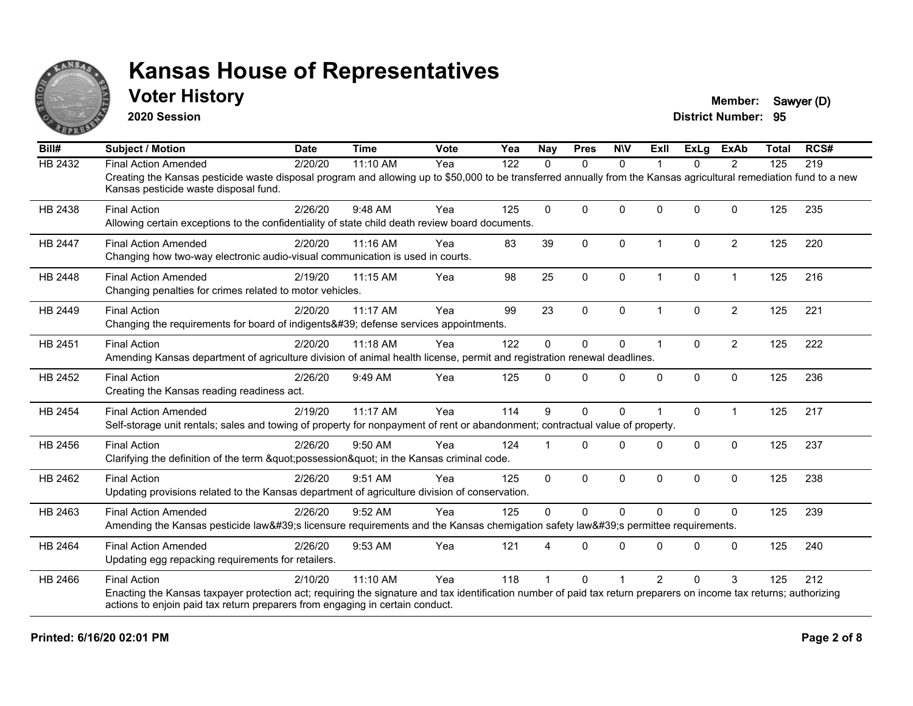

#### **Voter History Member:** Sawyer (D)

**2020 Session**

| Bill#          | <b>Subject / Motion</b>                                                                                                                                                                                                                                                    | <b>Date</b> | <b>Time</b> | <b>Vote</b> | Yea | <b>Nay</b>  | <b>Pres</b>  | <b>NIV</b>   | Exll                 | <b>ExLg</b>  | <b>ExAb</b>    | <b>Total</b> | RCS# |
|----------------|----------------------------------------------------------------------------------------------------------------------------------------------------------------------------------------------------------------------------------------------------------------------------|-------------|-------------|-------------|-----|-------------|--------------|--------------|----------------------|--------------|----------------|--------------|------|
| <b>HB 2432</b> | <b>Final Action Amended</b>                                                                                                                                                                                                                                                | 2/20/20     | 11:10 AM    | Yea         | 122 | $\Omega$    | $\mathbf{0}$ | $\mathbf{0}$ | 1                    | $\Omega$     | 2              | 125          | 219  |
|                | Creating the Kansas pesticide waste disposal program and allowing up to \$50,000 to be transferred annually from the Kansas agricultural remediation fund to a new<br>Kansas pesticide waste disposal fund.                                                                |             |             |             |     |             |              |              |                      |              |                |              |      |
| HB 2438        | <b>Final Action</b><br>Allowing certain exceptions to the confidentiality of state child death review board documents.                                                                                                                                                     | 2/26/20     | 9:48 AM     | Yea         | 125 | $\Omega$    | $\mathbf{0}$ | $\Omega$     | $\Omega$             | $\Omega$     | $\mathbf{0}$   | 125          | 235  |
| <b>HB 2447</b> | <b>Final Action Amended</b><br>Changing how two-way electronic audio-visual communication is used in courts.                                                                                                                                                               | 2/20/20     | 11:16 AM    | Yea         | 83  | 39          | $\mathbf{0}$ | $\mathbf 0$  | $\blacktriangleleft$ | $\mathbf{0}$ | $\overline{2}$ | 125          | 220  |
| HB 2448        | <b>Final Action Amended</b><br>Changing penalties for crimes related to motor vehicles.                                                                                                                                                                                    | 2/19/20     | 11:15 AM    | Yea         | 98  | 25          | $\mathbf 0$  | $\mathbf 0$  | $\mathbf{1}$         | 0            | $\mathbf{1}$   | 125          | 216  |
| HB 2449        | <b>Final Action</b><br>Changing the requirements for board of indigents' defense services appointments.                                                                                                                                                                    | 2/20/20     | $11:17$ AM  | Yea         | 99  | 23          | $\mathbf{0}$ | $\mathbf{0}$ | 1                    | $\Omega$     | $\overline{2}$ | 125          | 221  |
| HB 2451        | <b>Final Action</b><br>Amending Kansas department of agriculture division of animal health license, permit and registration renewal deadlines.                                                                                                                             | 2/20/20     | 11:18 AM    | Yea         | 122 | $\mathbf 0$ | $\mathbf{0}$ | 0            | $\blacktriangleleft$ | $\Omega$     | $\overline{2}$ | 125          | 222  |
| HB 2452        | <b>Final Action</b><br>Creating the Kansas reading readiness act.                                                                                                                                                                                                          | 2/26/20     | 9:49 AM     | Yea         | 125 | $\Omega$    | $\Omega$     | $\Omega$     | $\Omega$             | $\Omega$     | $\mathbf 0$    | 125          | 236  |
| HB 2454        | <b>Final Action Amended</b><br>Self-storage unit rentals; sales and towing of property for nonpayment of rent or abandonment; contractual value of property.                                                                                                               | 2/19/20     | 11:17 AM    | Yea         | 114 | 9           | $\mathbf{0}$ | $\Omega$     |                      | $\Omega$     | $\mathbf{1}$   | 125          | 217  |
| HB 2456        | <b>Final Action</b><br>Clarifying the definition of the term "possession" in the Kansas criminal code.                                                                                                                                                                     | 2/26/20     | $9:50$ AM   | Yea         | 124 |             | $\Omega$     | $\Omega$     | $\Omega$             | $\Omega$     | $\mathbf{0}$   | 125          | 237  |
| HB 2462        | <b>Final Action</b><br>Updating provisions related to the Kansas department of agriculture division of conservation.                                                                                                                                                       | 2/26/20     | 9:51 AM     | Yea         | 125 | $\Omega$    | $\mathbf{0}$ | $\Omega$     | $\mathbf{0}$         | $\Omega$     | $\mathbf{0}$   | 125          | 238  |
| HB 2463        | <b>Final Action Amended</b><br>Amending the Kansas pesticide law's licensure requirements and the Kansas chemigation safety law's permittee requirements.                                                                                                                  | 2/26/20     | 9:52 AM     | Yea         | 125 | $\Omega$    | $\Omega$     | $\Omega$     | $\Omega$             | $\Omega$     | $\Omega$       | 125          | 239  |
| HB 2464        | <b>Final Action Amended</b><br>Updating egg repacking requirements for retailers.                                                                                                                                                                                          | 2/26/20     | 9:53 AM     | Yea         | 121 |             | $\Omega$     | $\Omega$     | $\Omega$             | $\Omega$     | $\Omega$       | 125          | 240  |
| HB 2466        | <b>Final Action</b><br>Enacting the Kansas taxpayer protection act; requiring the signature and tax identification number of paid tax return preparers on income tax returns; authorizing<br>actions to enjoin paid tax return preparers from engaging in certain conduct. | 2/10/20     | 11:10 AM    | Yea         | 118 |             | $\Omega$     |              | $\mathcal{P}$        | $\Omega$     | 3              | 125          | 212  |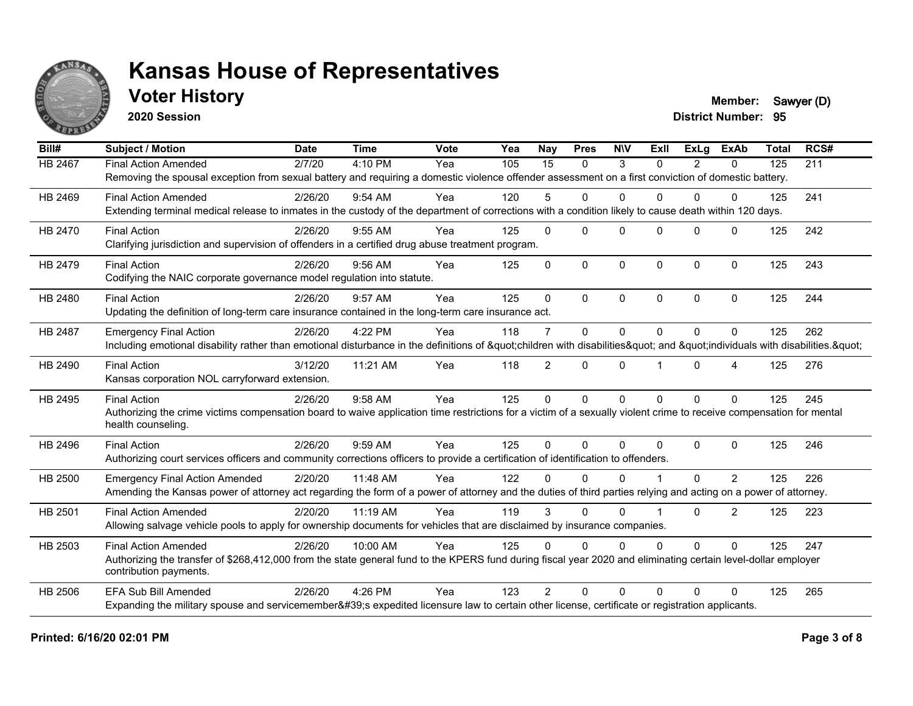

## **Voter History Member:** Sawyer (D)

**2020 Session**

| Bill#          | <b>Subject / Motion</b>                                                                                                                                             | <b>Date</b> | <b>Time</b> | Vote | Yea | Nay            | <b>Pres</b>  | <b>NIV</b>   | ExII     | <b>ExLg</b> | <b>ExAb</b>    | <b>Total</b> | RCS# |
|----------------|---------------------------------------------------------------------------------------------------------------------------------------------------------------------|-------------|-------------|------|-----|----------------|--------------|--------------|----------|-------------|----------------|--------------|------|
| <b>HB 2467</b> | <b>Final Action Amended</b>                                                                                                                                         | 2/7/20      | 4:10 PM     | Yea  | 105 | 15             | $\mathbf{0}$ | 3            | $\Omega$ | 2           | $\mathbf{0}$   | 125          | 211  |
|                | Removing the spousal exception from sexual battery and requiring a domestic violence offender assessment on a first conviction of domestic battery.                 |             |             |      |     |                |              |              |          |             |                |              |      |
| HB 2469        | <b>Final Action Amended</b>                                                                                                                                         | 2/26/20     | $9:54$ AM   | Yea  | 120 | 5              | $\Omega$     | $\Omega$     | 0        | $\Omega$    | 0              | 125          | 241  |
|                | Extending terminal medical release to inmates in the custody of the department of corrections with a condition likely to cause death within 120 days.               |             |             |      |     |                |              |              |          |             |                |              |      |
| HB 2470        | <b>Final Action</b>                                                                                                                                                 | 2/26/20     | $9:55$ AM   | Yea  | 125 | $\Omega$       | $\Omega$     | $\Omega$     | $\Omega$ | $\Omega$    | $\mathbf{0}$   | 125          | 242  |
|                | Clarifying jurisdiction and supervision of offenders in a certified drug abuse treatment program.                                                                   |             |             |      |     |                |              |              |          |             |                |              |      |
| HB 2479        | <b>Final Action</b>                                                                                                                                                 | 2/26/20     | 9:56 AM     | Yea  | 125 | $\Omega$       | $\mathbf{0}$ | $\Omega$     | $\Omega$ | $\Omega$    | $\mathbf 0$    | 125          | 243  |
|                | Codifying the NAIC corporate governance model regulation into statute.                                                                                              |             |             |      |     |                |              |              |          |             |                |              |      |
| HB 2480        | <b>Final Action</b>                                                                                                                                                 | 2/26/20     | 9:57 AM     | Yea  | 125 | $\Omega$       | $\Omega$     | $\mathbf{0}$ | $\Omega$ | $\Omega$    | $\mathbf{0}$   | 125          | 244  |
|                | Updating the definition of long-term care insurance contained in the long-term care insurance act.                                                                  |             |             |      |     |                |              |              |          |             |                |              |      |
| HB 2487        | <b>Emergency Final Action</b>                                                                                                                                       | 2/26/20     | 4:22 PM     | Yea  | 118 | $\overline{7}$ | $\mathbf{0}$ | $\Omega$     | $\Omega$ | $\Omega$    | $\mathbf{0}$   | 125          | 262  |
|                | Including emotional disability rather than emotional disturbance in the definitions of "children with disabilities" and "individuals with disabilities. "           |             |             |      |     |                |              |              |          |             |                |              |      |
| HB 2490        | <b>Final Action</b>                                                                                                                                                 | 3/12/20     | 11:21 AM    | Yea  | 118 | $\overline{2}$ | $\mathbf{0}$ | $\Omega$     |          | $\Omega$    | 4              | 125          | 276  |
|                | Kansas corporation NOL carryforward extension.                                                                                                                      |             |             |      |     |                |              |              |          |             |                |              |      |
| HB 2495        | <b>Final Action</b>                                                                                                                                                 | 2/26/20     | 9:58 AM     | Yea  | 125 | $\mathbf 0$    | $\Omega$     | $\mathbf 0$  | $\Omega$ | $\Omega$    | $\mathbf 0$    | 125          | 245  |
|                | Authorizing the crime victims compensation board to waive application time restrictions for a victim of a sexually violent crime to receive compensation for mental |             |             |      |     |                |              |              |          |             |                |              |      |
|                | health counseling.                                                                                                                                                  |             |             |      |     |                |              |              |          |             |                |              |      |
| HB 2496        | <b>Final Action</b>                                                                                                                                                 | 2/26/20     | 9:59 AM     | Yea  | 125 | $\mathbf{0}$   | $\mathbf{0}$ | $\Omega$     | $\Omega$ | $\Omega$    | $\mathbf 0$    | 125          | 246  |
|                | Authorizing court services officers and community corrections officers to provide a certification of identification to offenders.                                   |             |             |      |     |                |              |              |          |             |                |              |      |
| HB 2500        | <b>Emergency Final Action Amended</b>                                                                                                                               | 2/20/20     | 11:48 AM    | Yea  | 122 | 0              | $\Omega$     | $\Omega$     |          | $\Omega$    | $\overline{2}$ | 125          | 226  |
|                | Amending the Kansas power of attorney act regarding the form of a power of attorney and the duties of third parties relying and acting on a power of attorney.      |             |             |      |     |                |              |              |          |             |                |              |      |
| HB 2501        | <b>Final Action Amended</b>                                                                                                                                         | 2/20/20     | 11:19 AM    | Yea  | 119 | 3              | $\Omega$     | $\Omega$     |          | $\Omega$    | 2              | 125          | 223  |
|                | Allowing salvage vehicle pools to apply for ownership documents for vehicles that are disclaimed by insurance companies.                                            |             |             |      |     |                |              |              |          |             |                |              |      |
| HB 2503        | <b>Final Action Amended</b>                                                                                                                                         | 2/26/20     | 10:00 AM    | Yea  | 125 | $\Omega$       | $\Omega$     | $\Omega$     | $\Omega$ | $\Omega$    | $\mathbf{0}$   | 125          | 247  |
|                | Authorizing the transfer of \$268,412,000 from the state general fund to the KPERS fund during fiscal year 2020 and eliminating certain level-dollar employer       |             |             |      |     |                |              |              |          |             |                |              |      |
|                | contribution payments.                                                                                                                                              |             |             |      |     |                |              |              |          |             |                |              |      |
| HB 2506        | <b>EFA Sub Bill Amended</b>                                                                                                                                         | 2/26/20     | 4:26 PM     | Yea  | 123 | $\mathcal{P}$  | $\Omega$     | $\Omega$     | $\Omega$ | $\Omega$    | $\Omega$       | 125          | 265  |
|                | Expanding the military spouse and servicemember's expedited licensure law to certain other license, certificate or registration applicants.                         |             |             |      |     |                |              |              |          |             |                |              |      |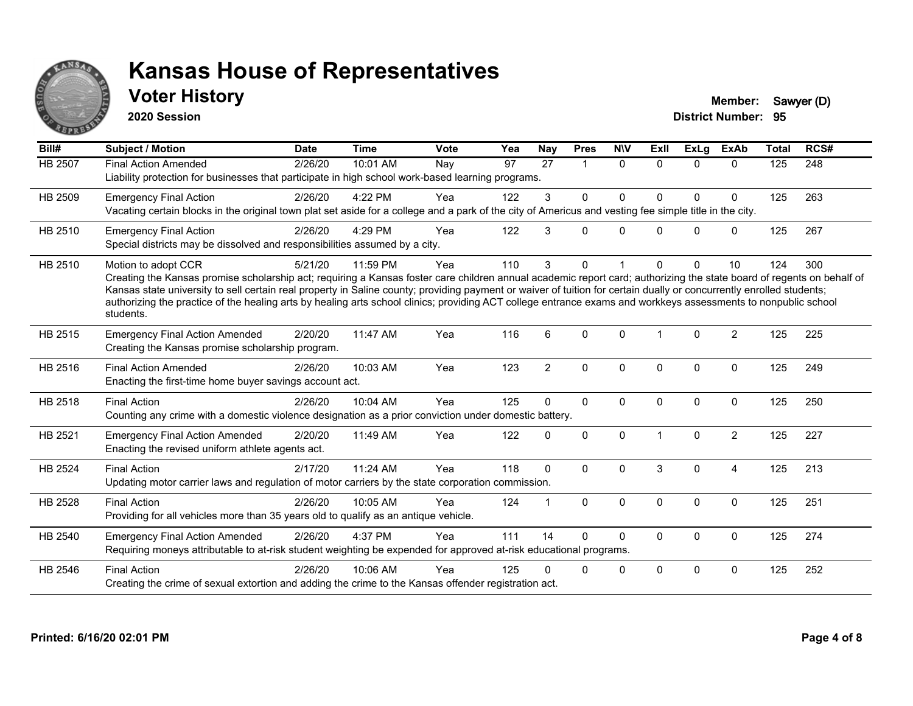

## **Voter History Member:** Sawyer (D)

**2020 Session**

| Bill#          | <b>Subject / Motion</b>                                                                                                                                                                                                                                                                                                                                                                                                                                                                                                                             | <b>Date</b> | <b>Time</b> | <b>Vote</b> | Yea | <b>Nay</b>     | <b>Pres</b>  | <b>NIV</b>  | <b>ExII</b> | ExLg        | <b>ExAb</b>    | <b>Total</b> | RCS# |
|----------------|-----------------------------------------------------------------------------------------------------------------------------------------------------------------------------------------------------------------------------------------------------------------------------------------------------------------------------------------------------------------------------------------------------------------------------------------------------------------------------------------------------------------------------------------------------|-------------|-------------|-------------|-----|----------------|--------------|-------------|-------------|-------------|----------------|--------------|------|
| <b>HB 2507</b> | <b>Final Action Amended</b><br>Liability protection for businesses that participate in high school work-based learning programs.                                                                                                                                                                                                                                                                                                                                                                                                                    | 2/26/20     | 10:01 AM    | Nay         | 97  | 27             | 1            | $\Omega$    | $\Omega$    | $\Omega$    | $\Omega$       | 125          | 248  |
| HB 2509        | <b>Emergency Final Action</b><br>Vacating certain blocks in the original town plat set aside for a college and a park of the city of Americus and vesting fee simple title in the city.                                                                                                                                                                                                                                                                                                                                                             | 2/26/20     | 4:22 PM     | Yea         | 122 | 3              | $\mathbf{0}$ | $\Omega$    | $\Omega$    | $\Omega$    | $\mathbf 0$    | 125          | 263  |
| HB 2510        | <b>Emergency Final Action</b><br>Special districts may be dissolved and responsibilities assumed by a city.                                                                                                                                                                                                                                                                                                                                                                                                                                         | 2/26/20     | 4:29 PM     | Yea         | 122 | 3              | $\Omega$     | $\Omega$    | $\Omega$    | $\Omega$    | $\mathbf 0$    | 125          | 267  |
| HB 2510        | Motion to adopt CCR<br>Creating the Kansas promise scholarship act; requiring a Kansas foster care children annual academic report card; authorizing the state board of regents on behalf of<br>Kansas state university to sell certain real property in Saline county; providing payment or waiver of tuition for certain dually or concurrently enrolled students;<br>authorizing the practice of the healing arts by healing arts school clinics; providing ACT college entrance exams and workkeys assessments to nonpublic school<br>students. | 5/21/20     | 11:59 PM    | Yea         | 110 | 3              | 0            |             | U           | $\Omega$    | 10             | 124          | 300  |
| HB 2515        | <b>Emergency Final Action Amended</b><br>Creating the Kansas promise scholarship program.                                                                                                                                                                                                                                                                                                                                                                                                                                                           | 2/20/20     | 11:47 AM    | Yea         | 116 | 6              | $\Omega$     | $\Omega$    | 1           | $\Omega$    | 2              | 125          | 225  |
| HB 2516        | <b>Final Action Amended</b><br>Enacting the first-time home buyer savings account act.                                                                                                                                                                                                                                                                                                                                                                                                                                                              | 2/26/20     | 10:03 AM    | Yea         | 123 | $\overline{2}$ | $\mathbf 0$  | $\Omega$    | $\Omega$    | $\Omega$    | $\mathbf 0$    | 125          | 249  |
| HB 2518        | <b>Final Action</b><br>Counting any crime with a domestic violence designation as a prior conviction under domestic battery.                                                                                                                                                                                                                                                                                                                                                                                                                        | 2/26/20     | 10:04 AM    | Yea         | 125 | $\Omega$       | $\mathbf{0}$ | $\Omega$    | $\Omega$    | $\Omega$    | $\Omega$       | 125          | 250  |
| HB 2521        | <b>Emergency Final Action Amended</b><br>Enacting the revised uniform athlete agents act.                                                                                                                                                                                                                                                                                                                                                                                                                                                           | 2/20/20     | 11:49 AM    | Yea         | 122 | $\Omega$       | $\mathbf 0$  | $\Omega$    |             | $\Omega$    | $\overline{2}$ | 125          | 227  |
| HB 2524        | <b>Final Action</b><br>Updating motor carrier laws and regulation of motor carriers by the state corporation commission.                                                                                                                                                                                                                                                                                                                                                                                                                            | 2/17/20     | 11:24 AM    | Yea         | 118 | $\mathbf{0}$   | $\Omega$     | $\Omega$    | 3           | $\Omega$    | $\overline{4}$ | 125          | 213  |
| HB 2528        | <b>Final Action</b><br>Providing for all vehicles more than 35 years old to qualify as an antique vehicle.                                                                                                                                                                                                                                                                                                                                                                                                                                          | 2/26/20     | 10:05 AM    | Yea         | 124 | 1              | $\mathbf{0}$ | $\Omega$    | $\Omega$    | $\Omega$    | $\Omega$       | 125          | 251  |
| HB 2540        | <b>Emergency Final Action Amended</b><br>Requiring moneys attributable to at-risk student weighting be expended for approved at-risk educational programs.                                                                                                                                                                                                                                                                                                                                                                                          | 2/26/20     | 4:37 PM     | Yea         | 111 | 14             | $\Omega$     | $\Omega$    | 0           | $\mathbf 0$ | $\mathbf 0$    | 125          | 274  |
| HB 2546        | <b>Final Action</b><br>Creating the crime of sexual extortion and adding the crime to the Kansas offender registration act.                                                                                                                                                                                                                                                                                                                                                                                                                         | 2/26/20     | 10:06 AM    | Yea         | 125 | U              | 0            | $\mathbf 0$ | $\Omega$    | $\Omega$    | 0              | 125          | 252  |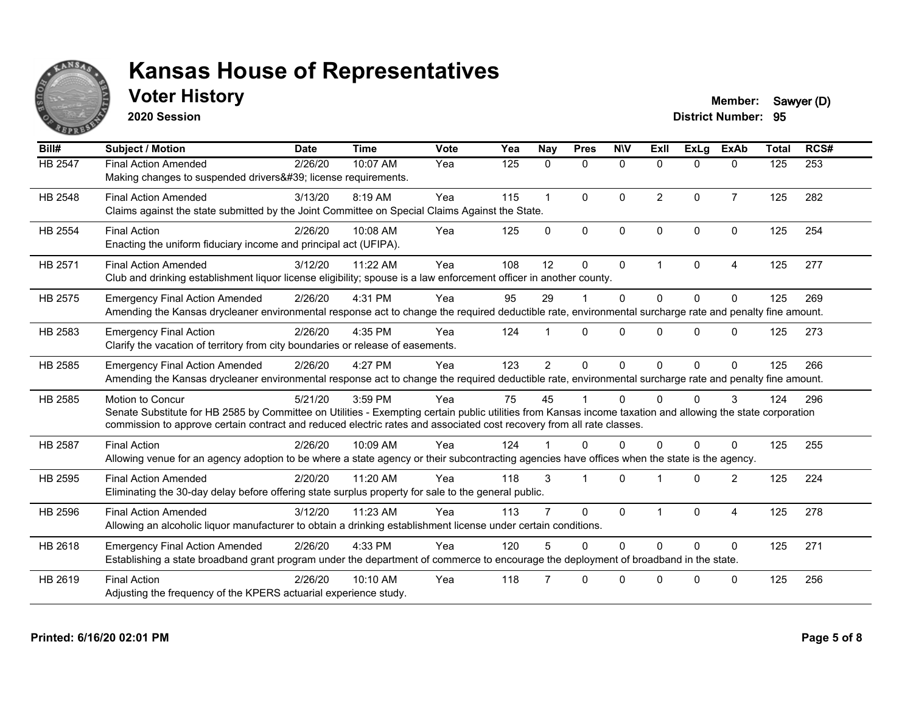

## **Voter History Member:** Sawyer (D)

**2020 Session**

| Bill#   | <b>Subject / Motion</b>                                                                                                                                                                                                                                                                                         | <b>Date</b> | <b>Time</b> | Vote | Yea | Nay            | <b>Pres</b>          | <b>NIV</b>   | ExII           | <b>ExLa</b>  | <b>ExAb</b>    | <b>Total</b> | RCS# |
|---------|-----------------------------------------------------------------------------------------------------------------------------------------------------------------------------------------------------------------------------------------------------------------------------------------------------------------|-------------|-------------|------|-----|----------------|----------------------|--------------|----------------|--------------|----------------|--------------|------|
| HB 2547 | <b>Final Action Amended</b><br>Making changes to suspended drivers' license requirements.                                                                                                                                                                                                                       | 2/26/20     | 10:07 AM    | Yea  | 125 | 0              | $\mathbf 0$          | $\mathbf 0$  | $\Omega$       | $\mathbf{0}$ | $\mathbf{0}$   | 125          | 253  |
| HB 2548 | <b>Final Action Amended</b><br>Claims against the state submitted by the Joint Committee on Special Claims Against the State.                                                                                                                                                                                   | 3/13/20     | 8:19 AM     | Yea  | 115 | $\mathbf{1}$   | $\Omega$             | $\Omega$     | $\overline{2}$ | $\Omega$     | $\overline{7}$ | 125          | 282  |
| HB 2554 | <b>Final Action</b><br>Enacting the uniform fiduciary income and principal act (UFIPA).                                                                                                                                                                                                                         | 2/26/20     | 10:08 AM    | Yea  | 125 | $\mathbf{0}$   | $\mathbf{0}$         | $\mathbf{0}$ | $\Omega$       | $\Omega$     | $\mathbf{0}$   | 125          | 254  |
| HB 2571 | <b>Final Action Amended</b><br>Club and drinking establishment liquor license eligibility; spouse is a law enforcement officer in another county.                                                                                                                                                               | 3/12/20     | 11:22 AM    | Yea  | 108 | 12             | $\mathbf{0}$         | $\mathbf{0}$ | 1              | $\Omega$     | 4              | 125          | 277  |
| HB 2575 | <b>Emergency Final Action Amended</b><br>Amending the Kansas drycleaner environmental response act to change the required deductible rate, environmental surcharge rate and penalty fine amount.                                                                                                                | 2/26/20     | 4:31 PM     | Yea  | 95  | 29             |                      | $\mathbf{0}$ | $\Omega$       | $\Omega$     | $\mathbf{0}$   | 125          | 269  |
| HB 2583 | <b>Emergency Final Action</b><br>Clarify the vacation of territory from city boundaries or release of easements.                                                                                                                                                                                                | 2/26/20     | 4:35 PM     | Yea  | 124 |                | $\Omega$             | $\Omega$     | $\Omega$       | $\Omega$     | $\Omega$       | 125          | 273  |
| HB 2585 | <b>Emergency Final Action Amended</b><br>Amending the Kansas drycleaner environmental response act to change the required deductible rate, environmental surcharge rate and penalty fine amount.                                                                                                                | 2/26/20     | 4:27 PM     | Yea  | 123 | $\overline{2}$ | $\Omega$             | $\Omega$     | $\Omega$       | $\Omega$     | $\mathbf{0}$   | 125          | 266  |
| HB 2585 | <b>Motion to Concur</b><br>Senate Substitute for HB 2585 by Committee on Utilities - Exempting certain public utilities from Kansas income taxation and allowing the state corporation<br>commission to approve certain contract and reduced electric rates and associated cost recovery from all rate classes. | 5/21/20     | 3:59 PM     | Yea  | 75  | 45             |                      | $\Omega$     | $\Omega$       | $\Omega$     | 3              | 124          | 296  |
| HB 2587 | <b>Final Action</b><br>Allowing venue for an agency adoption to be where a state agency or their subcontracting agencies have offices when the state is the agency.                                                                                                                                             | 2/26/20     | 10:09 AM    | Yea  | 124 |                | $\Omega$             | 0            | U              | <sup>0</sup> | 0              | 125          | 255  |
| HB 2595 | <b>Final Action Amended</b><br>Eliminating the 30-day delay before offering state surplus property for sale to the general public.                                                                                                                                                                              | 2/20/20     | 11:20 AM    | Yea  | 118 | 3              | $\blacktriangleleft$ | $\Omega$     |                | $\Omega$     | 2              | 125          | 224  |
| HB 2596 | <b>Final Action Amended</b><br>Allowing an alcoholic liquor manufacturer to obtain a drinking establishment license under certain conditions.                                                                                                                                                                   | 3/12/20     | 11:23 AM    | Yea  | 113 |                | $\mathbf{0}$         | $\mathbf{0}$ |                | $\Omega$     | $\overline{4}$ | 125          | 278  |
| HB 2618 | <b>Emergency Final Action Amended</b><br>Establishing a state broadband grant program under the department of commerce to encourage the deployment of broadband in the state.                                                                                                                                   | 2/26/20     | 4:33 PM     | Yea  | 120 | 5              | $\Omega$             | $\Omega$     | $\Omega$       | $\Omega$     | $\mathbf{0}$   | 125          | 271  |
| HB 2619 | <b>Final Action</b><br>Adjusting the frequency of the KPERS actuarial experience study.                                                                                                                                                                                                                         | 2/26/20     | 10:10 AM    | Yea  | 118 |                | $\Omega$             | $\Omega$     | $\Omega$       | $\Omega$     | $\mathbf{0}$   | 125          | 256  |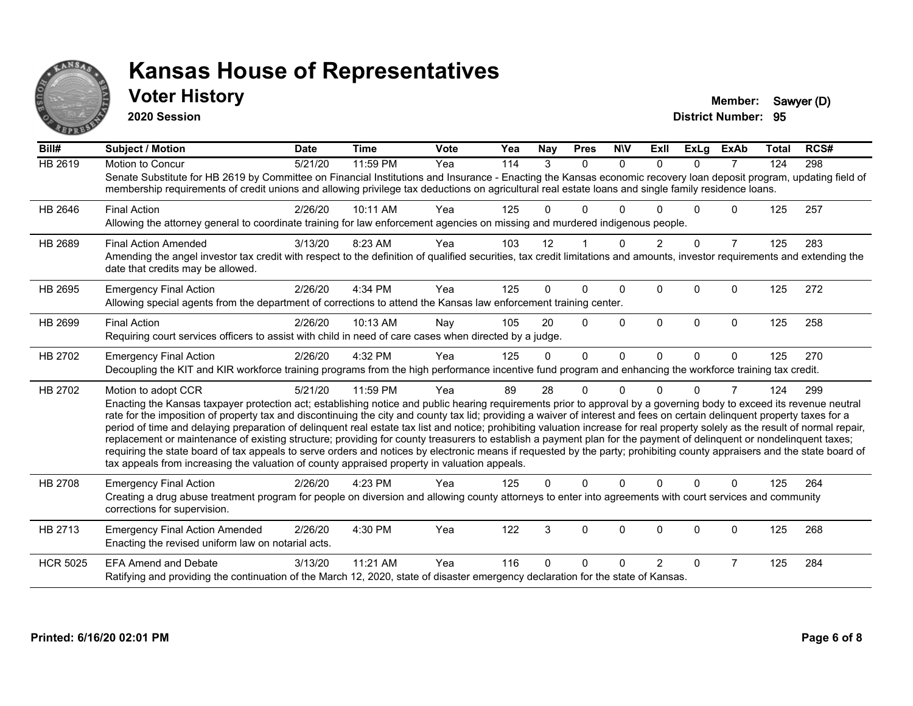

#### **Voter History Member:** Sawyer (D)

**2020 Session**

| Bill#           | Subject / Motion                                                                                                                                                                                                                                                                                                                                                                                                                                                                                                                                                                                                                                                                                                                                                                                                                                                                                                                                                                                              | <b>Date</b> | <b>Time</b> | Vote | Yea | <b>Nay</b> | <b>Pres</b>  | <b>NIV</b>  | ExII           | <b>ExLg</b>  | <b>ExAb</b>    | Total | RCS# |
|-----------------|---------------------------------------------------------------------------------------------------------------------------------------------------------------------------------------------------------------------------------------------------------------------------------------------------------------------------------------------------------------------------------------------------------------------------------------------------------------------------------------------------------------------------------------------------------------------------------------------------------------------------------------------------------------------------------------------------------------------------------------------------------------------------------------------------------------------------------------------------------------------------------------------------------------------------------------------------------------------------------------------------------------|-------------|-------------|------|-----|------------|--------------|-------------|----------------|--------------|----------------|-------|------|
| HB 2619         | Motion to Concur<br>Senate Substitute for HB 2619 by Committee on Financial Institutions and Insurance - Enacting the Kansas economic recovery loan deposit program, updating field of<br>membership requirements of credit unions and allowing privilege tax deductions on agricultural real estate loans and single family residence loans.                                                                                                                                                                                                                                                                                                                                                                                                                                                                                                                                                                                                                                                                 | 5/21/20     | 11:59 PM    | Yea  | 114 | 3          | $\Omega$     | $\Omega$    | $\Omega$       | $\Omega$     | $\overline{7}$ | 124   | 298  |
| HB 2646         | <b>Final Action</b><br>Allowing the attorney general to coordinate training for law enforcement agencies on missing and murdered indigenous people.                                                                                                                                                                                                                                                                                                                                                                                                                                                                                                                                                                                                                                                                                                                                                                                                                                                           | 2/26/20     | 10:11 AM    | Yea  | 125 | 0          | 0            | ∩           |                | <sup>n</sup> | 0              | 125   | 257  |
| HB 2689         | <b>Final Action Amended</b><br>Amending the angel investor tax credit with respect to the definition of qualified securities, tax credit limitations and amounts, investor requirements and extending the<br>date that credits may be allowed.                                                                                                                                                                                                                                                                                                                                                                                                                                                                                                                                                                                                                                                                                                                                                                | 3/13/20     | 8:23 AM     | Yea  | 103 | 12         |              | $\Omega$    |                | $\Omega$     | $\overline{7}$ | 125   | 283  |
| HB 2695         | <b>Emergency Final Action</b><br>Allowing special agents from the department of corrections to attend the Kansas law enforcement training center.                                                                                                                                                                                                                                                                                                                                                                                                                                                                                                                                                                                                                                                                                                                                                                                                                                                             | 2/26/20     | 4:34 PM     | Yea  | 125 | 0          | $\Omega$     | $\Omega$    | $\Omega$       | $\Omega$     | 0              | 125   | 272  |
| HB 2699         | <b>Final Action</b><br>Requiring court services officers to assist with child in need of care cases when directed by a judge.                                                                                                                                                                                                                                                                                                                                                                                                                                                                                                                                                                                                                                                                                                                                                                                                                                                                                 | 2/26/20     | $10:13$ AM  | Nay  | 105 | 20         | $\Omega$     | $\Omega$    | $\Omega$       | $\Omega$     | $\Omega$       | 125   | 258  |
| HB 2702         | <b>Emergency Final Action</b><br>Decoupling the KIT and KIR workforce training programs from the high performance incentive fund program and enhancing the workforce training tax credit.                                                                                                                                                                                                                                                                                                                                                                                                                                                                                                                                                                                                                                                                                                                                                                                                                     | 2/26/20     | 4:32 PM     | Yea  | 125 | $\Omega$   | $\mathbf{0}$ | $\Omega$    | $\Omega$       | $\Omega$     | $\mathbf{0}$   | 125   | 270  |
| HB 2702         | Motion to adopt CCR<br>Enacting the Kansas taxpayer protection act; establishing notice and public hearing requirements prior to approval by a governing body to exceed its revenue neutral<br>rate for the imposition of property tax and discontinuing the city and county tax lid; providing a waiver of interest and fees on certain delinquent property taxes for a<br>period of time and delaying preparation of delinquent real estate tax list and notice; prohibiting valuation increase for real property solely as the result of normal repair,<br>replacement or maintenance of existing structure; providing for county treasurers to establish a payment plan for the payment of delinquent or nondelinquent taxes;<br>requiring the state board of tax appeals to serve orders and notices by electronic means if requested by the party; prohibiting county appraisers and the state board of<br>tax appeals from increasing the valuation of county appraised property in valuation appeals. | 5/21/20     | 11:59 PM    | Yea  | 89  | 28         | 0            | $\Omega$    | U              | 0            | 7              | 124   | 299  |
| <b>HB 2708</b>  | <b>Emergency Final Action</b><br>Creating a drug abuse treatment program for people on diversion and allowing county attorneys to enter into agreements with court services and community<br>corrections for supervision.                                                                                                                                                                                                                                                                                                                                                                                                                                                                                                                                                                                                                                                                                                                                                                                     | 2/26/20     | 4:23 PM     | Yea  | 125 | 0          | $\Omega$     | $\Omega$    | 0              | $\Omega$     | $\Omega$       | 125   | 264  |
| HB 2713         | <b>Emergency Final Action Amended</b><br>Enacting the revised uniform law on notarial acts.                                                                                                                                                                                                                                                                                                                                                                                                                                                                                                                                                                                                                                                                                                                                                                                                                                                                                                                   | 2/26/20     | 4:30 PM     | Yea  | 122 | 3          | 0            | $\mathbf 0$ | $\Omega$       | $\Omega$     | 0              | 125   | 268  |
| <b>HCR 5025</b> | <b>EFA Amend and Debate</b><br>Ratifying and providing the continuation of the March 12, 2020, state of disaster emergency declaration for the state of Kansas.                                                                                                                                                                                                                                                                                                                                                                                                                                                                                                                                                                                                                                                                                                                                                                                                                                               | 3/13/20     | 11:21 AM    | Yea  | 116 | O          | 0            | ∩           | $\overline{2}$ | $\Omega$     | $\overline{7}$ | 125   | 284  |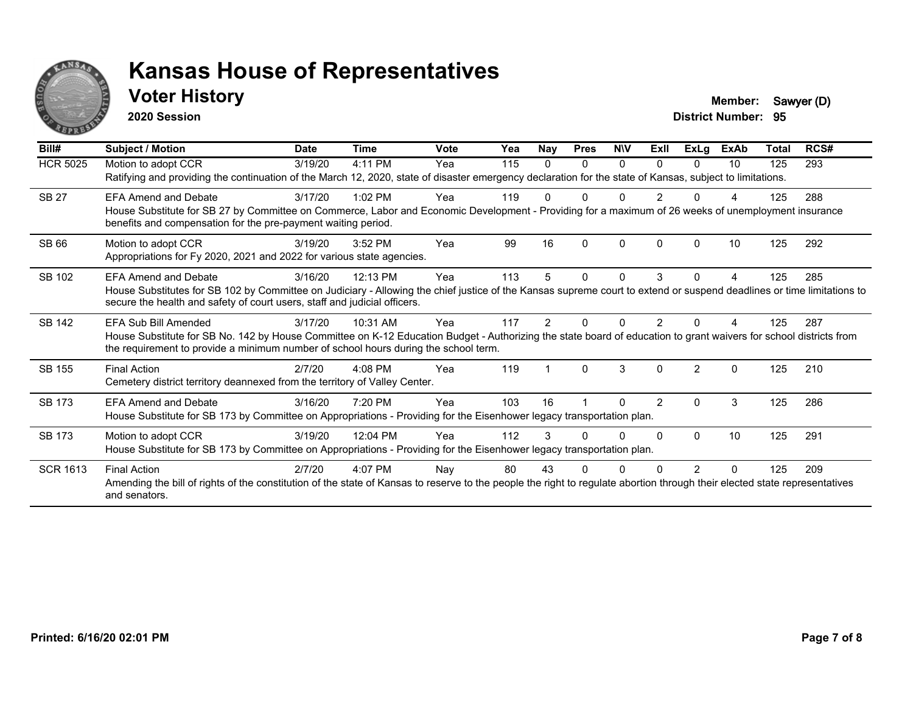

#### **Voter History Member:** Sawyer (D)

**2020 Session**

| Bill#           | <b>Subject / Motion</b>                                                                                                                                                                                                                                                                 | <b>Date</b> | <b>Time</b> | <b>Vote</b> | Yea | Nay | <b>Pres</b> | <b>NIV</b> | ExII           | <b>ExLg</b>   | <b>ExAb</b> | <b>Total</b> | RCS# |
|-----------------|-----------------------------------------------------------------------------------------------------------------------------------------------------------------------------------------------------------------------------------------------------------------------------------------|-------------|-------------|-------------|-----|-----|-------------|------------|----------------|---------------|-------------|--------------|------|
| <b>HCR 5025</b> | Motion to adopt CCR<br>Ratifying and providing the continuation of the March 12, 2020, state of disaster emergency declaration for the state of Kansas, subject to limitations.                                                                                                         | 3/19/20     | 4:11 PM     | Yea         | 115 | 0   | 0           | $\Omega$   | $\Omega$       | 0             | 10          | 125          | 293  |
| <b>SB 27</b>    | <b>EFA Amend and Debate</b><br>House Substitute for SB 27 by Committee on Commerce, Labor and Economic Development - Providing for a maximum of 26 weeks of unemployment insurance<br>benefits and compensation for the pre-payment waiting period.                                     | 3/17/20     | $1:02$ PM   | Yea         | 119 |     |             |            | $\overline{2}$ |               | Δ           | 125          | 288  |
| SB 66           | Motion to adopt CCR<br>Appropriations for Fy 2020, 2021 and 2022 for various state agencies.                                                                                                                                                                                            | 3/19/20     | 3:52 PM     | Yea         | 99  | 16  | $\Omega$    | $\Omega$   | $\Omega$       | $\Omega$      | 10          | 125          | 292  |
| SB 102          | FFA Amend and Debate<br>House Substitutes for SB 102 by Committee on Judiciary - Allowing the chief justice of the Kansas supreme court to extend or suspend deadlines or time limitations to<br>secure the health and safety of court users, staff and judicial officers.              | 3/16/20     | 12:13 PM    | Yea         | 113 | 5   | 0           | 0          | 3              | 0             | 4           | 125          | 285  |
| SB 142          | <b>EFA Sub Bill Amended</b><br>House Substitute for SB No. 142 by House Committee on K-12 Education Budget - Authorizing the state board of education to grant waivers for school districts from<br>the requirement to provide a minimum number of school hours during the school term. | 3/17/20     | 10:31 AM    | Yea         | 117 | 2   |             |            | 2              |               | Δ           | 125          | 287  |
| SB 155          | <b>Final Action</b><br>Cemetery district territory deannexed from the territory of Valley Center.                                                                                                                                                                                       | 2/7/20      | $4:08$ PM   | Yea         | 119 |     | $\Omega$    | 3          | $\Omega$       | $\mathcal{P}$ | $\Omega$    | 125          | 210  |
| <b>SB 173</b>   | <b>EFA Amend and Debate</b><br>House Substitute for SB 173 by Committee on Appropriations - Providing for the Eisenhower legacy transportation plan.                                                                                                                                    | 3/16/20     | 7:20 PM     | Yea         | 103 | 16  |             | ∩          | $\mathcal{P}$  | $\Omega$      | 3           | 125          | 286  |
| <b>SB 173</b>   | Motion to adopt CCR<br>House Substitute for SB 173 by Committee on Appropriations - Providing for the Eisenhower legacy transportation plan.                                                                                                                                            | 3/19/20     | 12:04 PM    | Yea         | 112 | 3   |             | O          | $\Omega$       | $\Omega$      | 10          | 125          | 291  |
| <b>SCR 1613</b> | <b>Final Action</b><br>Amending the bill of rights of the constitution of the state of Kansas to reserve to the people the right to regulate abortion through their elected state representatives<br>and senators.                                                                      | 2/7/20      | $4:07$ PM   | Nay         | 80  | 43  | 0           |            |                | 2             | $\Omega$    | 125          | 209  |